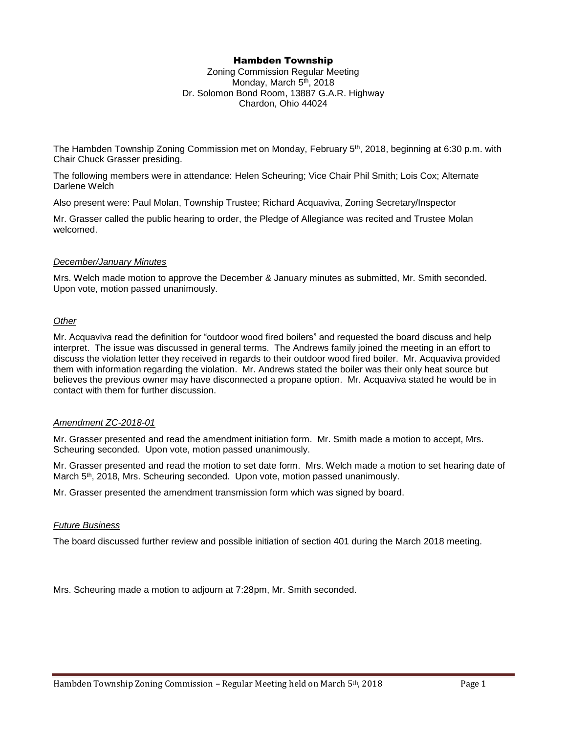## Hambden Township

Zoning Commission Regular Meeting Monday, March 5<sup>th</sup>, 2018 Dr. Solomon Bond Room, 13887 G.A.R. Highway Chardon, Ohio 44024

The Hambden Township Zoning Commission met on Monday, February 5th, 2018, beginning at 6:30 p.m. with Chair Chuck Grasser presiding.

The following members were in attendance: Helen Scheuring; Vice Chair Phil Smith; Lois Cox; Alternate Darlene Welch

Also present were: Paul Molan, Township Trustee; Richard Acquaviva, Zoning Secretary/Inspector

Mr. Grasser called the public hearing to order, the Pledge of Allegiance was recited and Trustee Molan welcomed.

### *December/January Minutes*

Mrs. Welch made motion to approve the December & January minutes as submitted, Mr. Smith seconded. Upon vote, motion passed unanimously.

### *Other*

Mr. Acquaviva read the definition for "outdoor wood fired boilers" and requested the board discuss and help interpret. The issue was discussed in general terms. The Andrews family joined the meeting in an effort to discuss the violation letter they received in regards to their outdoor wood fired boiler. Mr. Acquaviva provided them with information regarding the violation. Mr. Andrews stated the boiler was their only heat source but believes the previous owner may have disconnected a propane option. Mr. Acquaviva stated he would be in contact with them for further discussion.

#### *Amendment ZC-2018-01*

Mr. Grasser presented and read the amendment initiation form. Mr. Smith made a motion to accept, Mrs. Scheuring seconded. Upon vote, motion passed unanimously.

Mr. Grasser presented and read the motion to set date form. Mrs. Welch made a motion to set hearing date of March 5th, 2018, Mrs. Scheuring seconded. Upon vote, motion passed unanimously.

Mr. Grasser presented the amendment transmission form which was signed by board.

# *Future Business*

The board discussed further review and possible initiation of section 401 during the March 2018 meeting.

Mrs. Scheuring made a motion to adjourn at 7:28pm, Mr. Smith seconded.